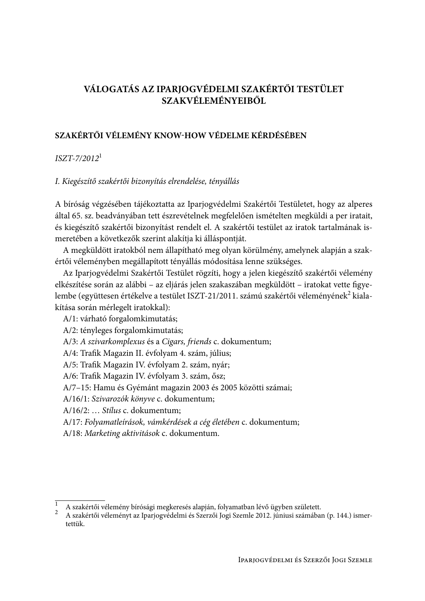# VÁLOGATÁS AZ IPARJOGVÉDELMI SZAKÉRTŐI TESTÜLET **SZAKVÉLEMÉNYEIBŐL**

## SZAKÉRTŐI VÉLEMÉNY KNOW-HOW VÉDELME KÉRDÉSÉBEN

## $ISZT-7/2012^1$

## I. Kiegészítő szakértői bizonyítás elrendelése, tényállás

A bíróság végzésében tájékoztatta az Iparjogvédelmi Szakértői Testületet, hogy az alperes által 65. sz. beadványában tett észrevételnek megfelelően ismételten megküldi a per iratait, és kiegészítő szakértői bizonyítást rendelt el. A szakértői testület az iratok tartalmának ismeretében a következők szerint alakítja ki álláspontját.

A megküldött iratokból nem állapítható meg olyan körülmény, amelynek alapján a szakértői véleményben megállapított tényállás módosítása lenne szükséges.

Az Iparjogvédelmi Szakértői Testület rögzíti, hogy a jelen kiegészítő szakértői vélemény elkészítése során az alábbi – az eljárás jelen szakaszában megküldött – iratokat vette figyelembe (együttesen értékelve a testület ISZT-21/2011. számú szakértői véleményének<sup>2</sup> kialakítása során mérlegelt iratokkal):

A/1: várható forgalomkimutatás; A/2: tényleges forgalomkimutatás; A/3: A szivarkomplexus és a Cigars, friends c. dokumentum; A/4: Trafik Magazin II. évfolyam 4. szám, július; A/5: Trafik Magazin IV. évfolyam 2. szám, nyár; A/6: Trafik Magazin IV. évfolyam 3. szám, ősz; A/7-15: Hamu és Gyémánt magazin 2003 és 2005 közötti számai; A/16/1: Szivarozók könyve c. dokumentum; A/16/2: ... Stílus c. dokumentum: A/17: Folyamatleírások, vámkérdések a cég életében c. dokumentum; A/18: Marketing aktivitások c. dokumentum.

A szakértői vélemény bírósági megkeresés alapján, folyamatban lévő ügyben született.

A szakértői véleményt az Iparjogvédelmi és Szerzői Jogi Szemle 2012. júniusi számában (p. 144.) ismertettük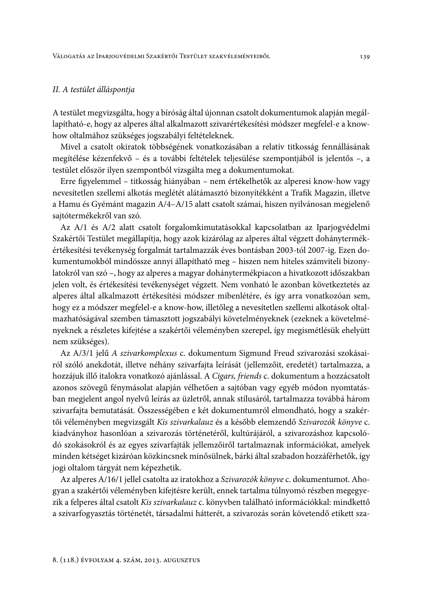### II. A testület álláspontja

A testület megvizsgálta, hogy a bíróság által újonnan csatolt dokumentumok alapján megállapítható-e, hogy az alperes által alkalmazott szivarértékesítési módszer megfelel-e a knowhow oltalmához szükséges jogszabályi feltételeknek.

Mivel a csatolt okiratok többségének vonatkozásában a relatív titkosság fennállásának megítélése kézenfekvő – és a további feltételek teljesülése szempontjából is jelentős –, a testület először ilyen szempontból vizsgálta meg a dokumentumokat.

Erre figyelemmel – titkosság hiányában – nem értékelhetők az alperesi know-how vagy nevesítetlen szellemi alkotás meglétét alátámasztó bizonyítékként a Trafik Magazin, illetve a Hamu és Gyémánt magazin A/4-A/15 alatt csatolt számai, hiszen nyilvánosan megjelenő saitótermékekről van szó.

Az A/1 és A/2 alatt csatolt forgalomkimutatásokkal kapcsolatban az Iparjogyédelmi Szakértői Testület megállapítja, hogy azok kizárólag az alperes által végzett dohánytermékértékesítési tevékenység forgalmát tartalmazzák éves bontásban 2003-tól 2007-ig. Ezen dokumentumokból mindössze annyi állapítható meg – hiszen nem hiteles számviteli bizonylatokról van szó -, hogy az alperes a magyar dohánytermékpiacon a hivatkozott időszakban jelen volt, és értékesítési tevékenységet végzett. Nem vonható le azonban következtetés az alperes által alkalmazott értékesítési módszer mibenlétére, és így arra vonatkozóan sem, hogy ez a módszer megfelel-e a know-how, illetőleg a nevesítetlen szellemi alkotások oltalmazhatóságával szemben támasztott jogszabályi követelményeknek (ezeknek a követelményeknek a részletes kifejtése a szakértői véleményben szerepel, így megismétlésük ehelyütt nem szükséges).

Az A/3/1 jelű A szivarkomplexus c. dokumentum Sigmund Freud szivarozási szokásairól szóló anekdotát, illetve néhány szivarfajta leírását (jellemzőit, eredetét) tartalmazza, a hozzájuk illő italokra vonatkozó ajánlással. A Cigars, friends c. dokumentum a hozzácsatolt azonos szövegű fénymásolat alapján vélhetően a sajtóban vagy egyéb módon nyomtatásban megjelent angol nyelvű leírás az üzletről, annak stílusáról, tartalmazza továbbá három szivarfajta bemutatását. Összességében e két dokumentumról elmondható, hogy a szakértői véleményben megvizsgált Kis szivarkalauz és a később elemzendő Szivarozók könyve c. kiadványhoz hasonlóan a szivarozás történetéről, kultúrájáról, a szivarozáshoz kapcsolódó szokásokról és az egyes szivarfajták jellemzőiről tartalmaznak információkat, amelyek minden kétséget kizáróan közkincsnek minősülnek, bárki által szabadon hozzáférhetők, így jogi oltalom tárgyát nem képezhetik.

Az alperes A/16/1 jellel csatolta az iratokhoz a Szivarozók könyve c. dokumentumot. Ahogyan a szakértői véleményben kifejtésre került, ennek tartalma túlnyomó részben megegyezik a felperes által csatolt Kis szivarkalauz c. könyvben található információkkal: mindkettő a szivarfogyasztás történetét, társadalmi hátterét, a szivarozás során követendő etikett sza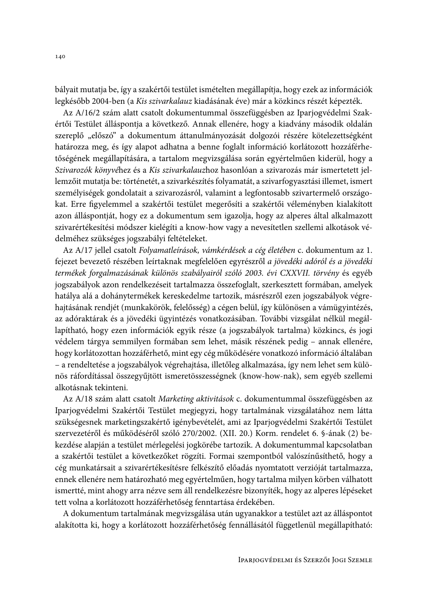bályait mutatja be, így a szakértői testület ismételten megállapítja, hogy ezek az információk legkésőbb 2004-ben (a Kis szivarkalauz kiadásának éve) már a közkincs részét képezték.

Az A/16/2 szám alatt csatolt dokumentummal összefüggésben az Iparjogvédelmi Szakértői Testület álláspontja a következő. Annak ellenére, hogy a kiadvány második oldalán szereplő "előszó" a dokumentum áttanulmányozását dolgozói részére kötelezettségként határozza meg, és így alapot adhatna a benne foglalt információ korlátozott hozzáférhetőségének megállapítására, a tartalom megvizsgálása során egyértelműen kiderül, hogy a Szivarozók könyvéhez és a Kis szivarkalauzhoz hasonlóan a szivarozás már ismertetett jellemzőit mutatja be: történetét, a szivarkészítés folyamatát, a szivarfogyasztási illemet, ismert személyiségek gondolatait a szivarozásról, valamint a legfontosabb szivartermelő országokat. Erre figyelemmel a szakértői testület megerősíti a szakértői véleményben kialakított azon álláspontját, hogy ez a dokumentum sem igazolja, hogy az alperes által alkalmazott szivarértékesítési módszer kielégíti a know-how vagy a nevesítetlen szellemi alkotások védelméhez szükséges jogszabályi feltételeket.

Az A/17 jellel csatolt Folyamatleírások, vámkérdések a cég életében c. dokumentum az 1. fejezet bevezető részében leírtaknak megfelelően egyrészről a jövedéki adóról és a jövedéki termékek forgalmazásának különös szabályairól szóló 2003. évi CXXVII. törvény és egyéb jogszabályok azon rendelkezéseit tartalmazza összefoglalt, szerkesztett formában, amelyek hatálya alá a dohánytermékek kereskedelme tartozik, másrészről ezen jogszabályok végrehajtásának rendjét (munkakörök, felelősség) a cégen belül, így különösen a vámügyintézés, az adóraktárak és a jövedéki ügyintézés vonatkozásában. További vizsgálat nélkül megállapítható, hogy ezen információk egyik része (a jogszabályok tartalma) közkincs, és jogi védelem tárgya semmilyen formában sem lehet, másik részének pedig – annak ellenére, hogy korlátozottan hozzáférhető, mint egy cég működésére vonatkozó információ általában - a rendeltetése a jogszabályok végrehajtása, illetőleg alkalmazása, így nem lehet sem különös ráfordítással összegyűjtött ismeretösszességnek (know-how-nak), sem egyéb szellemi alkotásnak tekinteni.

Az A/18 szám alatt csatolt Marketing aktivitások c. dokumentummal összefüggésben az Iparjogvédelmi Szakértői Testület megjegyzi, hogy tartalmának vizsgálatához nem látta szükségesnek marketingszakértő igénybevételét, ami az Iparjogvédelmi Szakértői Testület szervezetéről és működéséről szóló 270/2002. (XII. 20.) Korm. rendelet 6. §-ának (2) bekezdése alapján a testület mérlegelési jogkörébe tartozik. A dokumentummal kapcsolatban a szakértői testület a következőket rögzíti. Formai szempontból valószínűsíthető, hogy a cég munkatársait a szivarértékesítésre felkészítő előadás nyomtatott verzióját tartalmazza, ennek ellenére nem határozható meg egyértelműen, hogy tartalma milyen körben válhatott ismertté, mint ahogy arra nézve sem áll rendelkezésre bizonyíték, hogy az alperes lépéseket tett volna a korlátozott hozzáférhetőség fenntartása érdekében.

A dokumentum tartalmának megvizsgálása után ugyanakkor a testület azt az álláspontot alakította ki, hogy a korlátozott hozzáférhetőség fennállásától függetlenül megállapítható: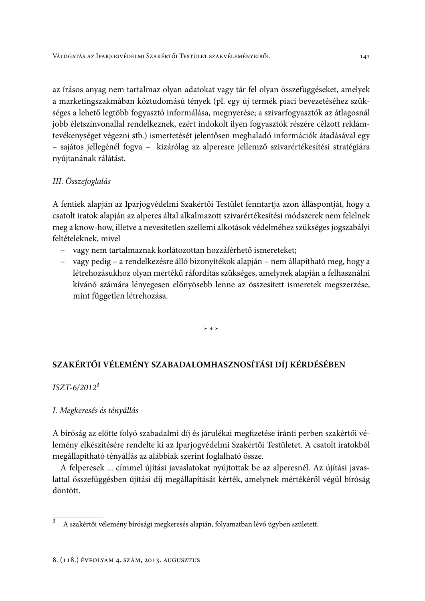az írásos anyag nem tartalmaz olyan adatokat vagy tár fel olyan összefüggéseket, amelyek a marketingszakmában köztudomású tények (pl. egy új termék piaci bevezetéséhez szükséges a lehető legtöbb fogyasztó informálása, megnyerése; a szivarfogyasztók az átlagosnál jobb életszínvonallal rendelkeznek, ezért indokolt ilyen fogyasztók részére célzott reklámtevékenységet végezni stb.) ismertetését jelentősen meghaladó információk átadásával egy - sajátos jellegénél fogya - kizárólag az alperesre jellemző szivarértékesítési stratégiára nyújtanának rálátást.

## III. Összefoglalás

A fentiek alapján az Iparjogvédelmi Szakértői Testület fenntartja azon álláspontját, hogy a csatolt iratok alapján az alperes által alkalmazott szivarértékesítési módszerek nem felelnek meg a know-how, illetve a nevesítetlen szellemi alkotások védelméhez szükséges jogszabályi feltételeknek, mivel

- vagy nem tartalmaznak korlátozottan hozzáférhető ismereteket;
- vagy pedig a rendelkezésre álló bizonyítékok alapján nem állapítható meg, hogy a létrehozásukhoz olyan mértékű ráfordítás szükséges, amelynek alapján a felhasználni kívánó számára lényegesen előnyösebb lenne az összesített ismeretek megszerzése, mint független létrehozása.

 $* * *$ 

# SZAKÉRTŐI VÉLEMÉNY SZABADALOMHASZNOSÍTÁSI DÍJ KÉRDÉSÉBEN

## $ISZT - 6/2012^3$

## I. Megkeresés és tényállás

A bíróság az előtte folyó szabadalmi díj és járulékai megfizetése iránti perben szakértői vélemény elkészítésére rendelte ki az Iparjogvédelmi Szakértői Testületet. A csatolt iratokból megállapítható tényállás az alábbiak szerint foglalható össze.

A felperesek ... címmel újítási javaslatokat nyújtottak be az alperesnél. Az újítási javaslattal összefüggésben újítási díj megállapítását kérték, amelynek mértékéről végül bíróság döntött

 $\overline{3}$ A szakértői vélemény bírósági megkeresés alapján, folyamatban lévő ügyben született.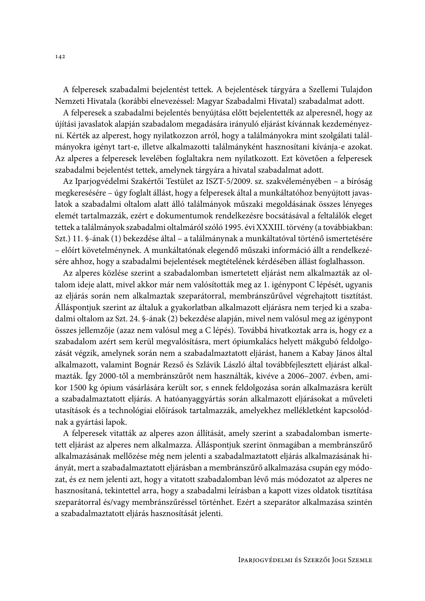A felperesek szabadalmi bejelentést tettek. A bejelentések tárgyára a Szellemi Tulajdon Nemzeti Hivatala (korábbi elnevezéssel: Magyar Szabadalmi Hivatal) szabadalmat adott.

A felperesek a szabadalmi bejelentés benyújtása előtt bejelentették az alperesnél, hogy az újítási javaslatok alapján szabadalom megadására irányuló eljárást kívánnak kezdeményezni. Kérték az alperest, hogy nyilatkozzon arról, hogy a találmányokra mint szolgálati találmányokra igényt tart-e, illetve alkalmazotti találmányként hasznosítani kívánja-e azokat. Az alperes a felperesek levelében foglaltakra nem nyilatkozott. Ezt követően a felperesek szabadalmi bejelentést tettek, amelynek tárgyára a hivatal szabadalmat adott.

Az Iparjogvédelmi Szakértői Testület az ISZT-5/2009. sz. szakvéleményében – a bíróság megkeresésére – úgy foglalt állást, hogy a felperesek által a munkáltatóhoz benyújtott javaslatok a szabadalmi oltalom alatt álló találmányok műszaki megoldásának összes lényeges elemét tartalmazzák, ezért e dokumentumok rendelkezésre bocsátásával a feltalálók eleget tettek a találmányok szabadalmi oltalmáról szóló 1995. évi XXXIII. törvény (a továbbiakban: Szt.) 11. §-ának (1) bekezdése által – a találmánynak a munkáltatóval történő ismertetésére - előírt követelménynek. A munkáltatónak elegendő műszaki információ állt a rendelkezésére ahhoz, hogy a szabadalmi bejelentések megtételének kérdésében állást foglalhasson.

Az alperes közlése szerint a szabadalomban ismertetett eljárást nem alkalmazták az oltalom ideje alatt, mivel akkor már nem valósították meg az 1. igénypont C lépését, ugyanis az eljárás során nem alkalmaztak szeparátorral, membránszűrűvel végrehajtott tisztítást. Álláspontjuk szerint az általuk a gyakorlatban alkalmazott eljárásra nem terjed ki a szabadalmi oltalom az Szt. 24. §-ának (2) bekezdése alapján, mivel nem valósul meg az igénypont összes jellemzője (azaz nem valósul meg a C lépés). Továbbá hivatkoztak arra is, hogy ez a szabadalom azért sem kerül megvalósításra, mert ópiumkalács helyett mákgubó feldolgozását végzik, amelynek során nem a szabadalmaztatott eljárást, hanem a Kabay János által alkalmazott, valamint Bognár Rezső és Szlávik László által továbbfejlesztett eljárást alkalmazták. Így 2000-től a membránszűrőt nem használták, kivéve a 2006–2007. évben, amikor 1500 kg ópium vásárlására került sor, s ennek feldolgozása során alkalmazásra került a szabadalmaztatott eljárás. A hatóanyaggyártás során alkalmazott eljárásokat a műveleti utasítások és a technológiai előírások tartalmazzák, amelyekhez mellékletként kapcsolódnak a gyártási lapok.

A felperesek vitatták az alperes azon állítását, amely szerint a szabadalomban ismertetett eljárást az alperes nem alkalmazza. Álláspontjuk szerint önmagában a membránszűrő alkalmazásának mellőzése még nem jelenti a szabadalmaztatott eljárás alkalmazásának hiányát, mert a szabadalmaztatott eljárásban a membránszűrő alkalmazása csupán egy módozat, és ez nem jelenti azt, hogy a vitatott szabadalomban lévő más módozatot az alperes ne hasznosítaná, tekintettel arra, hogy a szabadalmi leírásban a kapott vizes oldatok tisztítása szeparátorral és/vagy membránszűréssel történhet. Ezért a szeparátor alkalmazása szintén a szabadalmaztatott eljárás hasznosítását jelenti.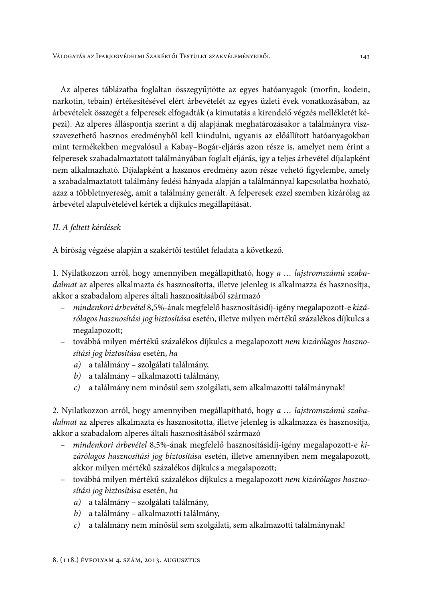Az alperes táblázatba foglaltan összegyűjtötte az egyes hatóanyagok (morfin, kodein, narkotin, tebain) értékesítésével elért árbevételét az egyes üzleti évek vonatkozásában, az árbevételek összegét a felperesek elfogadták (a kimutatás a kirendelő végzés mellékletét képezi). Az alperes álláspontja szerint a díj alapjának meghatározásakor a találmányra viszszavezethető hasznos eredményből kell kiindulni, ugyanis az előállított hatóanyagokban mint termékekben megvalósul a Kabay-Bogár-eljárás azon része is, amelyet nem érint a felperesek szabadalmaztatott találmányában foglalt eljárás, így a teljes árbevétel díjalapként nem alkalmazható. Díjalapként a hasznos eredmény azon része vehető figyelembe, amely a szabadalmaztatott találmány fedési hányada alapján a találmánnyal kapcsolatba hozható, azaz a többletnyereség, amit a találmány generált. A felperesek ezzel szemben kizárólag az árbevétel alapulvételével kérték a díjkulcs megállapítását.

## II. A feltett kérdések

A bíróság végzése alapján a szakértői testület feladata a következő.

1. Nyilatkozzon arról, hogy amennyiben megállapítható, hogy a ... lajstromszámú szabadalmat az alperes alkalmazta és hasznosította, illetve jelenleg is alkalmazza és hasznosítja, akkor a szabadalom alperes általi hasznosításából származó

- mindenkori árbevétel 8,5%-ának megfelelő hasznosításidíj-igény megalapozott-e kizárólagos hasznosítási jog biztosítása esetén, illetve milyen mértékű százalékos díjkulcs a megalapozott;
- továbbá milyen mértékű százalékos díjkulcs a megalapozott nem kizárólagos hasznosítási jog biztosítása esetén, ha
	- a) a találmány szolgálati találmány,
	- b) a találmány alkalmazotti találmány,
	- c) a találmány nem minősül sem szolgálati, sem alkalmazotti találmánynak!

2. Nyilatkozzon arról, hogy amennyiben megállapítható, hogy a ... lajstromszámú szabadalmat az alperes alkalmazta és hasznosította, illetve jelenleg is alkalmazza és hasznosítja, akkor a szabadalom alperes általi hasznosításából származó

- $\frac{1}{2}$ mindenkori árbevétel 8,5%-ának megfelelő hasznosításidíj-igény megalapozott-e kizárólagos hasznosítási jog biztosítása esetén, illetve amennyiben nem megalapozott, akkor milyen mértékű százalékos díjkulcs a megalapozott;
- továbbá milyen mértékű százalékos díjkulcs a megalapozott nem kizárólagos hasznosítási jog biztosítása esetén, ha
	- a) a találmány szolgálati találmány,
	- b) a találmány alkalmazotti találmány,
	- c) a találmány nem minősül sem szolgálati, sem alkalmazotti találmánynak!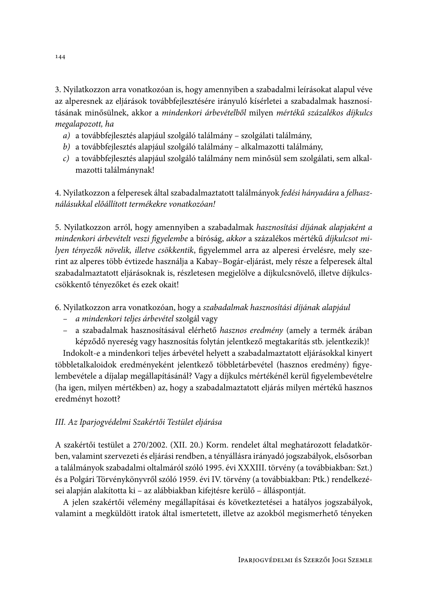3. Nyilatkozzon arra vonatkozóan is, hogy amennyiben a szabadalmi leírásokat alapul véve az alperesnek az eljárások továbbfejlesztésére irányuló kísérletei a szabadalmak hasznosításának minősülnek, akkor a mindenkori árbevételből milyen mértékű százalékos díjkulcs megalapozott, ha

- a) a továbbfejlesztés alapjául szolgáló találmány szolgálati találmány,
- b) a továbbfejlesztés alapjául szolgáló találmány alkalmazotti találmány,
- c) a továbbfejlesztés alapjául szolgáló találmány nem minősül sem szolgálati, sem alkalmazotti találmánynak!

4. Nyilatkozzon a felperesek által szabadalmaztatott találmányok fedési hányadára a felhasználásukkal előállított termékekre vonatkozóan!

5. Nyilatkozzon arról, hogy amennyiben a szabadalmak hasznosítási díjának alapjaként a mindenkori árbevételt veszi figyelembe a bíróság, akkor a százalékos mértékű díjkulcsot milyen tényezők növelik, illetve csökkentik, figyelemmel arra az alperesi érvelésre, mely szerint az alperes több évtizede használja a Kabay-Bogár-eljárást, mely része a felperesek által szabadalmaztatott eljárásoknak is, részletesen megjelölve a díjkulcsnövelő, illetve díjkulcscsökkentő tényezőket és ezek okait!

6. Nyilatkozzon arra vonatkozóan, hogy a szabadalmak hasznosítási díjának alapjául

- a mindenkori teljes árbevétel szolgál vagy
- a szabadalmak hasznosításával elérhető hasznos eredmény (amely a termék árában képződő nyereség vagy hasznosítás folytán jelentkező megtakarítás stb. jelentkezik)!

Indokolt-e a mindenkori teljes árbevétel helyett a szabadalmaztatott eljárásokkal kinyert többletalkaloidok eredményeként jelentkező többletárbevétel (hasznos eredmény) figyelembevétele a díjalap megállapításánál? Vagy a díjkulcs mértékénél kerül figyelembevételre (ha igen, milyen mértékben) az, hogy a szabadalmaztatott eljárás milyen mértékű hasznos eredményt hozott?

## III. Az Iparjogvédelmi Szakértői Testület eljárása

A szakértői testület a 270/2002. (XII. 20.) Korm. rendelet által meghatározott feladatkörben, valamint szervezeti és eljárási rendben, a tényállásra irányadó jogszabályok, elsősorban a találmányok szabadalmi oltalmáról szóló 1995. évi XXXIII. törvény (a továbbiakban: Szt.) és a Polgári Törvénykönyvről szóló 1959. évi IV. törvény (a továbbiakban: Ptk.) rendelkezései alapján alakította ki – az alábbiakban kifejtésre kerülő – álláspontját.

A jelen szakértői vélemény megállapításai és következtetései a hatályos jogszabályok, valamint a megküldött iratok által ismertetett, illetve az azokból megismerhető tényeken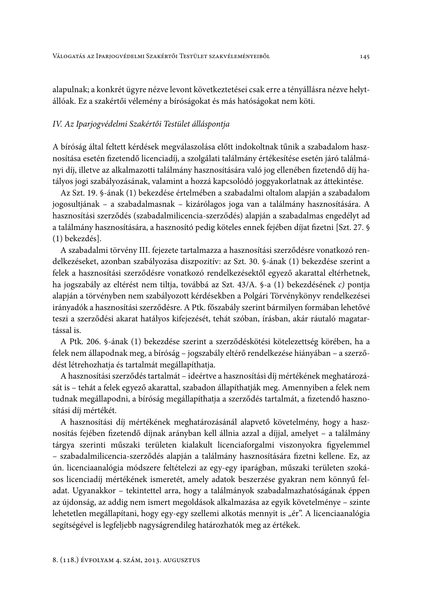alapulnak; a konkrét ügyre nézve levont következtetései csak erre a tényállásra nézve helytállóak. Ez a szakértői vélemény a bíróságokat és más hatóságokat nem köti.

#### IV. Az Iparjogvédelmi Szakértői Testület álláspontja

A bíróság által feltett kérdések megválaszolása előtt indokoltnak tűnik a szabadalom hasznosítása esetén fizetendő licenciadíj, a szolgálati találmány értékesítése esetén járó találmányi díj, illetve az alkalmazotti találmány hasznosítására való jog ellenében fizetendő díj hatályos jogi szabályozásának, valamint a hozzá kapcsolódó joggyakorlatnak az áttekintése.

Az Szt. 19. §-ának (1) bekezdése értelmében a szabadalmi oltalom alapján a szabadalom jogosultjának - a szabadalmasnak - kizárólagos joga van a találmány hasznosítására. A hasznosítási szerződés (szabadalmilicencia-szerződés) alapján a szabadalmas engedélyt ad a találmány hasznosítására, a hasznosító pedig köteles ennek fejében díjat fizetni [Szt. 27. § (1) bekezdés].

A szabadalmi törvény III. fejezete tartalmazza a hasznosítási szerződésre vonatkozó rendelkezéseket, azonban szabályozása diszpozitív: az Szt. 30. §-ának (1) bekezdése szerint a felek a hasznosítási szerződésre vonatkozó rendelkezésektől egyező akarattal eltérhetnek, ha jogszabály az eltérést nem tiltja, továbbá az Szt. 43/A. §-a (1) bekezdésének c) pontja alapján a törvényben nem szabályozott kérdésekben a Polgári Törvénykönyv rendelkezései irányadók a hasznosítási szerződésre. A Ptk. főszabály szerint bármilyen formában lehetővé teszi a szerződési akarat hatályos kifejezését, tehát szóban, írásban, akár ráutaló magatartással is.

A Ptk. 206. §-ának (1) bekezdése szerint a szerződéskötési kötelezettség körében, ha a felek nem állapodnak meg, a bíróság - jogszabály eltérő rendelkezése hiányában - a szerződést létrehozhatja és tartalmát megállapíthatja.

A hasznosítási szerződés tartalmát - ideértve a hasznosítási díj mértékének meghatározását is – tehát a felek egyező akarattal, szabadon állapíthatják meg. Amennyiben a felek nem tudnak megállapodni, a bíróság megállapíthatja a szerződés tartalmát, a fizetendő hasznosítási díi mértékét.

A hasznosítási díj mértékének meghatározásánál alapvető követelmény, hogy a hasznosítás fejében fizetendő díjnak arányban kell állnia azzal a díjjal, amelyet – a találmány tárgya szerinti műszaki területen kialakult licenciaforgalmi viszonyokra figyelemmel - szabadalmilicencia-szerződés alapján a találmány hasznosítására fizetni kellene. Ez, az ún. licenciaanalógia módszere feltételezi az egy-egy iparágban, műszaki területen szokásos licenciadíj mértékének ismeretét, amely adatok beszerzése gyakran nem könnyű feladat. Ugyanakkor - tekintettel arra, hogy a találmányok szabadalmazhatóságának éppen az újdonság, az addig nem ismert megoldások alkalmazása az egyik követelménye - szinte lehetetlen megállapítani, hogy egy-egy szellemi alkotás mennyit is "ér". A licenciaanalógia segítségével is legfeljebb nagyságrendileg határozhatók meg az értékek.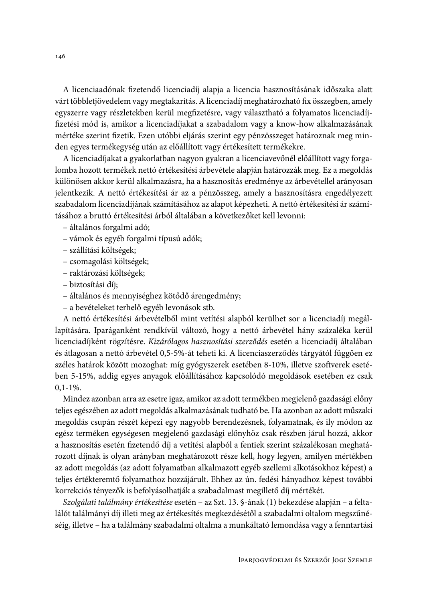A licenciaadónak fizetendő licenciadíj alapja a licencia hasznosításának időszaka alatt várt többletjövedelem vagy megtakarítás. A licenciadíj meghatározható fix összegben, amely egyszerre vagy részletekben kerül megfizetésre, vagy választható a folyamatos licenciadíjfizetési mód is, amikor a licenciadíjakat a szabadalom vagy a know-how alkalmazásának mértéke szerint fizetik. Ezen utóbbi eljárás szerint egy pénzösszeget határoznak meg minden egyes termékegység után az előállított vagy értékesített termékekre.

A licenciadíjakat a gyakorlatban nagyon gyakran a licenciavevőnél előállított vagy forgalomba hozott termékek nettó értékesítési árbevétele alapján határozzák meg. Ez a megoldás különösen akkor kerül alkalmazásra, ha a hasznosítás eredménye az árbevétellel arányosan jelentkezik. A nettó értékesítési ár az a pénzösszeg, amely a hasznosításra engedélyezett szabadalom licenciadíjának számításához az alapot képezheti. A nettó értékesítési ár számításához a bruttó értékesítési árból általában a következőket kell levonni:

- általános forgalmi adó;
- vámok és egyéb forgalmi típusú adók;
- szállítási költségek;
- csomagolási költségek;
- raktározási költségek;
- biztosítási díj;
- általános és mennyiséghez kötődő árengedmény;
- a bevételeket terhelő egyéb levonások stb.

A nettó értékesítési árbevételből mint vetítési alapból kerülhet sor a licenciadíj megállapítására. Iparáganként rendkívül változó, hogy a nettó árbevétel hány százaléka kerül licenciadíjként rögzítésre. Kizárólagos hasznosítási szerződés esetén a licenciadíj általában és átlagosan a nettó árbevétel 0,5-5%-át teheti ki. A licenciaszerződés tárgyától függően ez széles határok között mozoghat: míg gyógyszerek esetében 8-10%, illetve szoftverek esetében 5-15%, addig egyes anyagok előállításához kapcsolódó megoldások esetében ez csak  $0.1 - 1\%$ .

Mindez azonban arra az esetre igaz, amikor az adott termékben megjelenő gazdasági előny teljes egészében az adott megoldás alkalmazásának tudható be. Ha azonban az adott műszaki megoldás csupán részét képezi egy nagyobb berendezésnek, folyamatnak, és ily módon az egész terméken egységesen megjelenő gazdasági előnyhöz csak részben járul hozzá, akkor a hasznosítás esetén fizetendő díj a vetítési alapból a fentiek szerint százalékosan meghatározott díjnak is olyan arányban meghatározott része kell, hogy legyen, amilyen mértékben az adott megoldás (az adott folyamatban alkalmazott egyéb szellemi alkotásokhoz képest) a teljes értékteremtő folyamathoz hozzájárult. Ehhez az ún. fedési hányadhoz képest további korrekciós tényezők is befolyásolhatják a szabadalmast megillető díj mértékét.

Szolgálati találmány értékesítése esetén – az Szt. 13. §-ának (1) bekezdése alapján – a feltalálót találmányi díj illeti meg az értékesítés megkezdésétől a szabadalmi oltalom megszűnéséig, illetve - ha a találmány szabadalmi oltalma a munkáltató lemondása vagy a fenntartási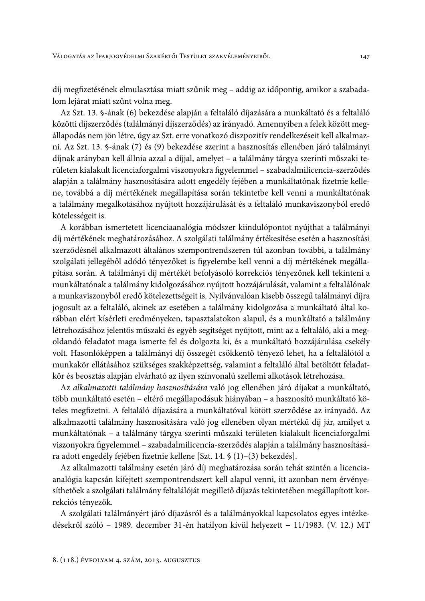díj megfizetésének elmulasztása miatt szűnik meg – addig az időpontig, amikor a szabadalom lejárat miatt szűnt volna meg.

Az Szt. 13. §-ának (6) bekezdése alapján a feltaláló díjazására a munkáltató és a feltaláló közötti díjszerződés (találmányi díjszerződés) az irányadó. Amennyiben a felek között megállapodás nem jön létre, úgy az Szt. erre vonatkozó diszpozitív rendelkezéseit kell alkalmazni. Az Szt. 13. §-ának (7) és (9) bekezdése szerint a hasznosítás ellenében járó találmányi díjnak arányban kell állnia azzal a díjjal, amelyet - a találmány tárgya szerinti műszaki területen kialakult licenciaforgalmi viszonyokra figyelemmel - szabadalmilicencia-szerződés alapján a találmány hasznosítására adott engedély fejében a munkáltatónak fizetnie kellene, továbbá a díj mértékének megállapítása során tekintetbe kell venni a munkáltatónak a találmány megalkotásához nyújtott hozzájárulását és a feltaláló munkaviszonyból eredő kötelességeit is.

A korábban ismertetett licenciaanalógia módszer kiindulópontot nyújthat a találmányi díj mértékének meghatározásához. A szolgálati találmány értékesítése esetén a hasznosítási szerződésnél alkalmazott általános szempontrendszeren túl azonban további, a találmány szolgálati jellegéből adódó tényezőket is figyelembe kell venni a díj mértékének megállapítása során. A találmányi díj mértékét befolyásoló korrekciós tényezőnek kell tekinteni a munkáltatónak a találmány kidolgozásához nyújtott hozzájárulását, valamint a feltalálónak a munkaviszonyból eredő kötelezettségeit is. Nyilvánvalóan kisebb összegű találmányi díjra jogosult az a feltaláló, akinek az esetében a találmány kidolgozása a munkáltató által korábban elért kísérleti eredményeken, tapasztalatokon alapul, és a munkáltató a találmány létrehozásához jelentős műszaki és egyéb segítséget nyújtott, mint az a feltaláló, aki a megoldandó feladatot maga ismerte fel és dolgozta ki, és a munkáltató hozzájárulása csekély volt. Hasonlóképpen a találmányi díj összegét csökkentő tényező lehet, ha a feltalálótól a munkakör ellátásához szükséges szakképzettség, valamint a feltaláló által betöltött feladatkör és beosztás alapján elvárható az ilyen színvonalú szellemi alkotások létrehozása.

Az alkalmazotti találmány hasznosítására való jog ellenében járó díjakat a munkáltató, több munkáltató esetén – eltérő megállapodásuk hiányában – a hasznosító munkáltató köteles megfizetni. A feltaláló díjazására a munkáltatóval kötött szerződése az irányadó. Az alkalmazotti találmány hasznosítására való jog ellenében olyan mértékű díj jár, amilyet a munkáltatónak – a találmány tárgya szerinti műszaki területen kialakult licenciaforgalmi viszonyokra figyelemmel – szabadalmilicencia-szerződés alapján a találmány hasznosítására adott engedély fejében fizetnie kellene [Szt. 14. § (1)–(3) bekezdés].

Az alkalmazotti találmány esetén járó díj meghatározása során tehát szintén a licenciaanalógia kapcsán kifejtett szempontrendszert kell alapul venni, itt azonban nem érvényesíthetőek a szolgálati találmány feltalálóját megillető díjazás tekintetében megállapított korrekciós tényezők.

A szolgálati találmányért járó díjazásról és a találmányokkal kapcsolatos egyes intézkedésekről szóló – 1989. december 31-én hatályon kívül helyezett – 11/1983. (V. 12.) MT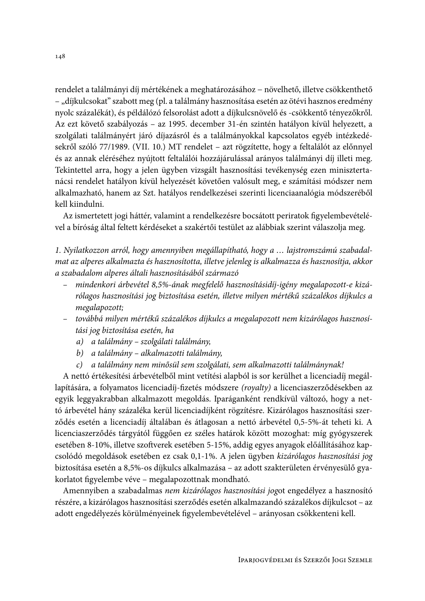rendelet a találmányi díj mértékének a meghatározásához – növelhető, illetve csökkenthető - "díjkulcsokat" szabott meg (pl. a találmány hasznosítása esetén az ötévi hasznos eredmény nyolc százalékát), és példálózó felsorolást adott a díjkulcsnövelő és -csökkentő tényezőkről. Az ezt követő szabályozás – az 1995. december 31-én szintén hatályon kívül helyezett, a szolgálati találmányért járó díjazásról és a találmányokkal kapcsolatos egyéb intézkedésekről szóló 77/1989. (VII. 10.) MT rendelet – azt rögzítette, hogy a feltalálót az előnnyel és az annak eléréséhez nyújtott feltalálói hozzájárulással arányos találmányi díj illeti meg. Tekintettel arra, hogy a jelen ügyben vizsgált hasznosítási tevékenység ezen minisztertanácsi rendelet hatályon kívül helyezését követően valósult meg, e számítási módszer nem alkalmazható, hanem az Szt. hatályos rendelkezései szerinti licenciaanalógia módszeréből kell kiindulni.

Az ismertetett jogi háttér, valamint a rendelkezésre bocsátott periratok figyelembevételével a bíróság által feltett kérdéseket a szakértői testület az alábbiak szerint válaszolja meg.

1. Nyilatkozzon arról, hogy amennyiben megállapítható, hogy a ... lajstromszámú szabadalmat az alperes alkalmazta és hasznosította, illetve jelenleg is alkalmazza és hasznosítja, akkor a szabadalom alperes általi hasznosításából származó

- mindenkori árbevétel 8,5%-ának megfelelő hasznosításidíj-igény megalapozott-e kizárólagos hasznosítási jog biztosítása esetén, illetve milyen mértékű százalékos díjkulcs a megalapozott;
- továbbá milyen mértékű százalékos díjkulcs a megalapozott nem kizárólagos hasznosítási jog biztosítása esetén, ha
	- a) a találmány szolgálati találmány,
	- b) a találmány alkalmazotti találmány,
	- c) a találmány nem minősül sem szolgálati, sem alkalmazotti találmánynak!

A nettó értékesítési árbevételből mint vetítési alapból is sor kerülhet a licenciadíj megállapítására, a folyamatos licenciadíj-fizetés módszere (royalty) a licenciaszerződésekben az egyik leggyakrabban alkalmazott megoldás. Iparáganként rendkívül változó, hogy a nettó árbevétel hány százaléka kerül licenciadíjként rögzítésre. Kizárólagos hasznosítási szerződés esetén a licenciadíj általában és átlagosan a nettó árbevétel 0,5-5%-át teheti ki. A licenciaszerződés tárgyától függően ez széles határok között mozoghat: míg gyógyszerek esetében 8-10%, illetve szoftverek esetében 5-15%, addig egyes anyagok előállításához kapcsolódó megoldások esetében ez csak 0,1-1%. A jelen ügyben kizárólagos hasznosítási jog biztosítása esetén a 8,5%-os díjkulcs alkalmazása – az adott szakterületen érvényesülő gyakorlatot figyelembe véve - megalapozottnak mondható.

Amennyiben a szabadalmas nem kizárólagos hasznosítási jogot engedélyez a hasznosító részére, a kizárólagos hasznosítási szerződés esetén alkalmazandó százalékos díjkulcsot – az adott engedélyezés körülményeinek figyelembevételével – arányosan csökkenteni kell.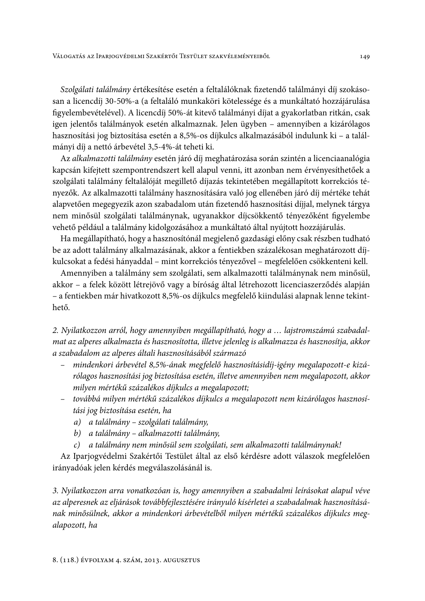Szolgálati találmány értékesítése esetén a feltalálóknak fizetendő találmányi díj szokásosan a licencdíj 30-50%-a (a feltaláló munkaköri kötelessége és a munkáltató hozzájárulása figyelembevételével). A licencdíj 50%-át kitevő találmányi díjat a gyakorlatban ritkán, csak igen jelentős találmányok esetén alkalmaznak. Jelen ügyben – amennyiben a kizárólagos hasznosítási jog biztosítása esetén a 8,5%-os díjkulcs alkalmazásából indulunk ki – a találmányi díj a nettó árbevétel 3,5-4%-át teheti ki.

Az alkalmazotti találmány esetén járó díj meghatározása során szintén a licenciaanalógia kapcsán kifejtett szempontrendszert kell alapul venni, itt azonban nem érvényesíthetőek a szolgálati találmány feltalálóját megillető díjazás tekintetében megállapított korrekciós tényezők. Az alkalmazotti találmány hasznosítására való jog ellenében járó díj mértéke tehát alapvetően megegyezik azon szabadalom után fizetendő hasznosítási díjjal, melynek tárgya nem minősül szolgálati találmánynak, ugyanakkor díjcsökkentő tényezőként figyelembe vehető például a találmány kidolgozásához a munkáltató által nyújtott hozzájárulás.

Ha megállapítható, hogy a hasznosítónál megjelenő gazdasági előny csak részben tudható be az adott találmány alkalmazásának, akkor a fentiekben százalékosan meghatározott díjkulcsokat a fedési hányaddal – mint korrekciós tényezővel – megfelelően csökkenteni kell.

Amennyiben a találmány sem szolgálati, sem alkalmazotti találmánynak nem minősül, akkor – a felek között létrejövő vagy a bíróság által létrehozott licenciaszerződés alapján - a fentiekben már hivatkozott 8,5%-os díjkulcs megfelelő kiindulási alapnak lenne tekinthető.

2. Nyilatkozzon arról, hogy amennyiben megállapítható, hogy a ... lajstromszámú szabadalmat az alperes alkalmazta és hasznosította, illetve jelenleg is alkalmazza és hasznosítja, akkor a szabadalom az alperes általi hasznosításából származó

- mindenkori árbevétel 8,5%-ának megfelelő hasznosításidíj-igény megalapozott-e kizá- $\equiv$ rólagos hasznosítási jog biztosítása esetén, illetve amennyiben nem megalapozott, akkor milyen mértékű százalékos díjkulcs a megalapozott;
- továbbá milyen mértékű százalékos díjkulcs a megalapozott nem kizárólagos hasznosítási jog biztosítása esetén, ha
	- a) a találmány szolgálati találmány,
	- b) a találmány alkalmazotti találmány,
	- c) a találmány nem minősül sem szolgálati, sem alkalmazotti találmánynak!

Az Iparjogvédelmi Szakértői Testület által az első kérdésre adott válaszok megfelelően irányadóak jelen kérdés megválaszolásánál is.

3. Nyilatkozzon arra vonatkozóan is, hogy amennyiben a szabadalmi leírásokat alapul véve az alperesnek az eljárások továbbfejlesztésére irányuló kísérletei a szabadalmak hasznosításának minősülnek, akkor a mindenkori árbevételből milyen mértékű százalékos díjkulcs megalapozott, ha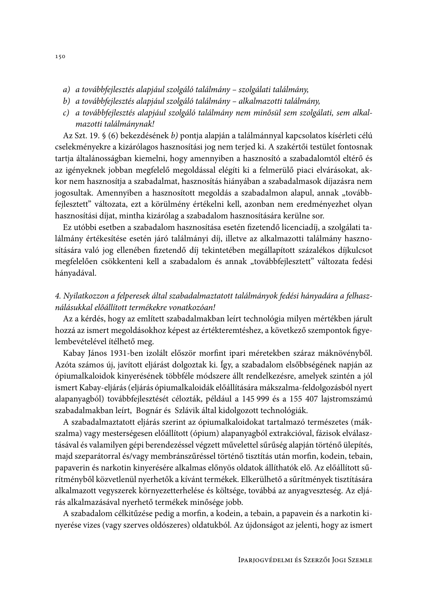- a) a továbbfejlesztés alapjául szolgáló találmány szolgálati találmány,
- b) a továbbfejlesztés alapjául szolgáló találmány alkalmazotti találmány,
- c) a továbbfejlesztés alapjául szolgáló találmány nem minősül sem szolgálati, sem alkalmazotti találmánynak!

Az Szt. 19. § (6) bekezdésének b) pontja alapján a találmánnyal kapcsolatos kísérleti célú cselekményekre a kizárólagos hasznosítási jog nem terjed ki. A szakértői testület fontosnak tartja általánosságban kiemelni, hogy amennyiben a hasznosító a szabadalomtól eltérő és az igényeknek jobban megfelelő megoldással elégíti ki a felmerülő piaci elvárásokat, akkor nem hasznosítja a szabadalmat, hasznosítás hiányában a szabadalmasok díjazásra nem jogosultak. Amennyiben a hasznosított megoldás a szabadalmon alapul, annak "továbbfejlesztett" változata, ezt a körülmény értékelni kell, azonban nem eredményezhet olyan hasznosítási díjat, mintha kizárólag a szabadalom hasznosítására kerülne sor.

Ez utóbbi esetben a szabadalom hasznosítása esetén fizetendő licenciadíj, a szolgálati találmány értékesítése esetén járó találmányi díj, illetve az alkalmazotti találmány hasznosítására való jog ellenében fizetendő díj tekintetében megállapított százalékos díjkulcsot megfelelően csökkenteni kell a szabadalom és annak "továbbfejlesztett" változata fedési hányadával.

## 4. Nyilatkozzon a felperesek által szabadalmaztatott találmányok fedési hányadára a felhasználásukkal előállított termékekre vonatkozóan!

Az a kérdés, hogy az említett szabadalmakban leírt technológia milyen mértékben járult hozzá az ismert megoldásokhoz képest az értékteremtéshez, a következő szempontok figyelembevételével ítélhető meg.

Kabay János 1931-ben izolált először morfint ipari méretekben száraz máknövényből. Azóta számos új, javított eljárást dolgoztak ki. Így, a szabadalom elsőbbségének napján az ópiumalkaloidok kinyerésének többféle módszere állt rendelkezésre, amelyek szintén a jól ismert Kabay-eljárás (eljárás ópiumalkaloidák előállítására mákszalma-feldolgozásból nyert alapanyagból) továbbfejlesztését célozták, például a 145 999 és a 155 407 lajstromszámú szabadalmakban leírt, Bognár és Szlávik által kidolgozott technológiák.

A szabadalmaztatott eljárás szerint az ópiumalkaloidokat tartalmazó természetes (mákszalma) vagy mesterségesen előállított (ópium) alapanyagból extrakcióval, fázisok elválasztásával és valamilyen gépi berendezéssel végzett művelettel sűrűség alapján történő ülepítés, majd szeparátorral és/vagy membránszűréssel történő tisztítás után morfin, kodein, tebain, papaverin és narkotin kinyerésére alkalmas előnyös oldatok állíthatók elő. Az előállított sűrítményből közvetlenül nyerhetők a kívánt termékek. Elkerülhető a sűrítmények tisztítására alkalmazott vegyszerek környezetterhelése és költsége, továbbá az anyagveszteség. Az eljárás alkalmazásával nyerhető termékek minősége jobb.

A szabadalom célkitűzése pedig a morfin, a kodein, a tebain, a papavein és a narkotin kinyerése vizes (vagy szerves oldószeres) oldatukból. Az újdonságot az jelenti, hogy az ismert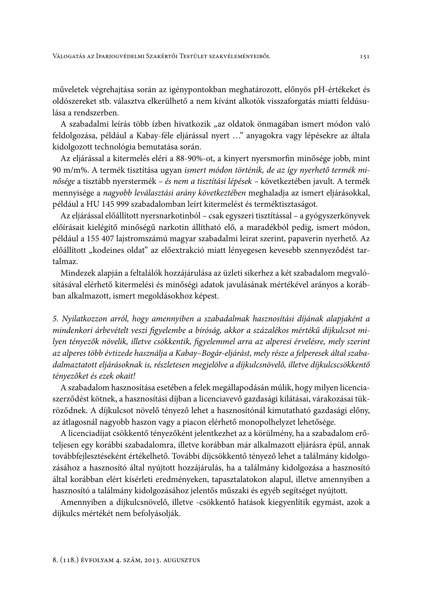műveletek végrehajtása során az igénypontokban meghatározott, előnyös pH-értékeket és oldószereket stb. választva elkerülhető a nem kívánt alkotók visszaforgatás miatti feldúsulása a rendszerben.

A szabadalmi leírás több ízben hivatkozik "az oldatok önmagában ismert módon való feldolgozása, például a Kabay-féle eljárással nyert ..." anyagokra vagy lépésekre az általa kidolgozott technológia bemutatása során.

Az eljárással a kitermelés eléri a 88-90%-ot, a kinyert nyersmorfin minősége jobb, mint 90 m/m%. A termék tisztítása ugyan ismert módon történik, de az így nyerhető termék minősége a tisztább nyerstermék - és nem a tisztítási lépések - következtében javult. A termék mennyisége a nagyobb leválasztási arány következtében meghaladja az ismert eljárásokkal, például a HU 145 999 szabadalomban leírt kitermelést és terméktisztaságot.

Az eljárással előállított nyersnarkotinból – csak egyszeri tisztítással – a gyógyszerkönyvek előírásait kielégítő minőségű narkotin állítható elő, a maradékból pedig, ismert módon, például a 155 407 lajstromszámú magyar szabadalmi leirat szerint, papaverin nyerhető. Az előállított "kodeines oldat" az előextrakció miatt lényegesen kevesebb szennyeződést tartalmaz.

Mindezek alapján a feltalálók hozzájárulása az üzleti sikerhez a két szabadalom megvalósításával elérhető kitermelési és minőségi adatok javulásának mértékével arányos a korábban alkalmazott, ismert megoldásokhoz képest.

5. Nyilatkozzon arról, hogy amennyiben a szabadalmak hasznosítási díjának alapjaként a mindenkori árbevételt veszi figyelembe a bíróság, akkor a százalékos mértékű díjkulcsot milyen tényezők növelik, illetve csökkentik, figyelemmel arra az alperesi érvelésre, mely szerint az alperes több évtizede használja a Kabay-Bogár-eljárást, mely része a felperesek által szabadalmaztatott eljárásoknak is, részletesen megjelölve a díjkulcsnövelő, illetve díjkulcscsökkentő tényezőket és ezek okait!

A szabadalom hasznosítása esetében a felek megállapodásán múlik, hogy milyen licenciaszerződést kötnek, a hasznosítási díjban a licenciavevő gazdasági kilátásai, várakozásai tükröződnek. A díjkulcsot növelő tényező lehet a hasznosítónál kimutatható gazdasági előny, az átlagosnál nagyobb haszon vagy a piacon elérhető monopolhelyzet lehetősége.

A licenciadíjat csökkentő tényezőként jelentkezhet az a körülmény, ha a szabadalom erőteljesen egy korábbi szabadalomra, illetve korábban már alkalmazott eljárásra épül, annak továbbfejlesztéseként értékelhető. További díjcsökkentő tényező lehet a találmány kidolgozásához a hasznosító által nyújtott hozzájárulás, ha a találmány kidolgozása a hasznosító által korábban elért kísérleti eredményeken, tapasztalatokon alapul, illetve amennyiben a hasznosító a találmány kidolgozásához jelentős műszaki és egyéb segítséget nyújtott.

Amennyiben a díjkulcsnövelő, illetve -csökkentő hatások kiegyenlítik egymást, azok a díjkulcs mértékét nem befolyásolják.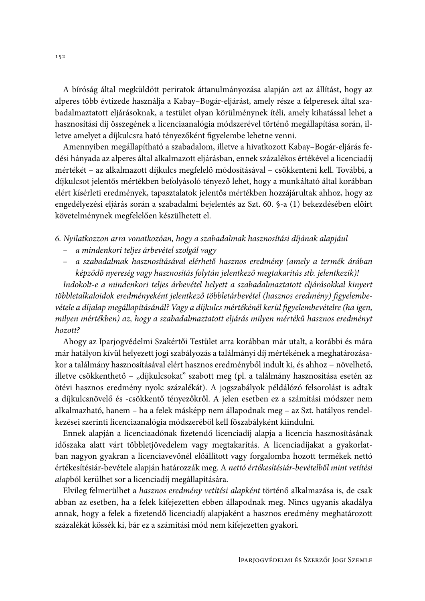A bíróság által megküldött periratok áttanulmányozása alapján azt az állítást, hogy az alperes több évtizede használja a Kabay-Bogár-eljárást, amely része a felperesek által szabadalmaztatott eljárásoknak, a testület olyan körülménynek ítéli, amely kihatással lehet a hasznosítási díj összegének a licenciaanalógia módszerével történő megállapítása során, illetve amelyet a díjkulcsra ható tényezőként figyelembe lehetne venni.

Amennyiben megállapítható a szabadalom, illetve a hivatkozott Kabay–Bogár-eljárás fedési hányada az alperes által alkalmazott eljárásban, ennek százalékos értékével a licenciadíj mértékét – az alkalmazott díjkulcs megfelelő módosításával – csökkenteni kell. További, a díjkulcsot jelentős mértékben befolyásoló tényező lehet, hogy a munkáltató által korábban elért kísérleti eredmények, tapasztalatok jelentős mértékben hozzájárultak ahhoz, hogy az engedélyezési eljárás során a szabadalmi bejelentés az Szt. 60. §-a (1) bekezdésében előírt követelménynek megfelelően készülhetett el.

6. Nyilatkozzon arra vonatkozóan, hogy a szabadalmak hasznosítási díjának alapjául

- a mindenkori teljes árbevétel szolgál vagy
- a szabadalmak hasznosításával elérhető hasznos eredmény (amely a termék árában képződő nyereség vagy hasznosítás folytán jelentkező megtakarítás stb. jelentkezik)!

Indokolt-e a mindenkori teljes árbevétel helyett a szabadalmaztatott eljárásokkal kinyert többletalkaloidok eredményeként jelentkező többletárbevétel (hasznos eredmény) figyelembevétele a díjalap megállapításánál? Vagy a díjkulcs mértékénél kerül figyelembevételre (ha igen, milyen mértékben) az, hogy a szabadalmaztatott eljárás milyen mértékű hasznos eredményt hozott?

Ahogy az Iparjogvédelmi Szakértői Testület arra korábban már utalt, a korábbi és mára már hatályon kívül helyezett jogi szabályozás a találmányi díj mértékének a meghatározásakor a találmány hasznosításával elért hasznos eredményből indult ki, és ahhoz - növelhető, illetve csökkenthető – "díjkulcsokat" szabott meg (pl. a találmány hasznosítása esetén az ötévi hasznos eredmény nyolc százalékát). A jogszabályok példálózó felsorolást is adtak a díjkulcsnövelő és -csökkentő tényezőkről. A jelen esetben ez a számítási módszer nem alkalmazható, hanem – ha a felek másképp nem állapodnak meg – az Szt. hatályos rendelkezései szerinti licenciaanalógia módszeréből kell főszabályként kiindulni.

Ennek alapján a licenciaadónak fizetendő licenciadíj alapja a licencia hasznosításának időszaka alatt várt többletjövedelem vagy megtakarítás. A licenciadíjakat a gyakorlatban nagyon gyakran a licenciavevőnél előállított vagy forgalomba hozott termékek nettó értékesítésiár-bevétele alapján határozzák meg. A nettó értékesítésiár-bevételből mint vetítési alapból kerülhet sor a licenciadíj megállapítására.

Elvileg felmerülhet a hasznos eredmény vetítési alapként történő alkalmazása is, de csak abban az esetben, ha a felek kifejezetten ebben állapodnak meg. Nincs ugyanis akadálya annak, hogy a felek a fizetendő licenciadíj alapjaként a hasznos eredmény meghatározott százalékát kössék ki, bár ez a számítási mód nem kifejezetten gyakori.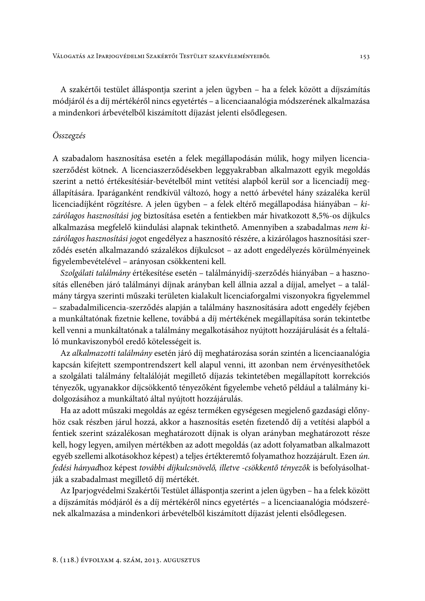A szakértői testület álláspontja szerint a jelen ügyben – ha a felek között a díjszámítás módjáról és a díj mértékéről nincs egyetértés - a licenciaanalógia módszerének alkalmazása a mindenkori árbevételből kiszámított díjazást jelenti elsődlegesen.

### Összegzés

A szabadalom hasznosítása esetén a felek megállapodásán múlik, hogy milyen licenciaszerződést kötnek. A licenciaszerződésekben leggyakrabban alkalmazott egyik megoldás szerint a nettó értékesítésiár-bevételből mint vetítési alapból kerül sor a licenciadíj megállapítására. Iparáganként rendkívül változó, hogy a nettó árbevétel hány százaléka kerül licenciadíjként rögzítésre. A jelen ügyben - a felek eltérő megállapodása hiányában - kizárólagos hasznosítási jog biztosítása esetén a fentiekben már hivatkozott 8,5%-os díjkulcs alkalmazása megfelelő kiindulási alapnak tekinthető. Amennyiben a szabadalmas nem kizárólagos hasznosítási jogot engedélyez a hasznosító részére, a kizárólagos hasznosítási szerződés esetén alkalmazandó százalékos díjkulcsot - az adott engedélyezés körülményeinek figyelembevételével – arányosan csökkenteni kell.

Szolgálati találmány értékesítése esetén - találmányidíj-szerződés hiányában - a hasznosítás ellenében járó találmányi díjnak arányban kell állnia azzal a díjjal, amelyet – a találmány tárgya szerinti műszaki területen kialakult licenciaforgalmi viszonyokra figyelemmel - szabadalmilicencia-szerződés alapján a találmány hasznosítására adott engedély fejében a munkáltatónak fizetnie kellene, továbbá a díj mértékének megállapítása során tekintetbe kell venni a munkáltatónak a találmány megalkotásához nyújtott hozzájárulását és a feltaláló munkaviszonyból eredő kötelességeit is.

Az alkalmazotti találmány esetén járó díj meghatározása során szintén a licenciaanalógia kapcsán kifejtett szempontrendszert kell alapul venni, itt azonban nem érvényesíthetőek a szolgálati találmány feltalálóját megillető díjazás tekintetében megállapított korrekciós tényezők, ugyanakkor díjcsökkentő tényezőként figyelembe vehető például a találmány kidolgozásához a munkáltató által nyújtott hozzájárulás.

Ha az adott műszaki megoldás az egész terméken egységesen megjelenő gazdasági előnyhöz csak részben járul hozzá, akkor a hasznosítás esetén fizetendő díj a vetítési alapból a fentiek szerint százalékosan meghatározott díjnak is olyan arányban meghatározott része kell, hogy legyen, amilyen mértékben az adott megoldás (az adott folyamatban alkalmazott egyéb szellemi alkotásokhoz képest) a teljes értékteremtő folyamathoz hozzájárult. Ezen ún. fedési hányadhoz képest további díjkulcsnövelő, illetve -csökkentő tényezők is befolyásolhatják a szabadalmast megillető díj mértékét.

Az Iparjogvédelmi Szakértői Testület álláspontja szerint a jelen ügyben - ha a felek között a díjszámítás módjáról és a díj mértékéről nincs egyetértés - a licenciaanalógia módszerének alkalmazása a mindenkori árbevételből kiszámított díjazást jelenti elsődlegesen.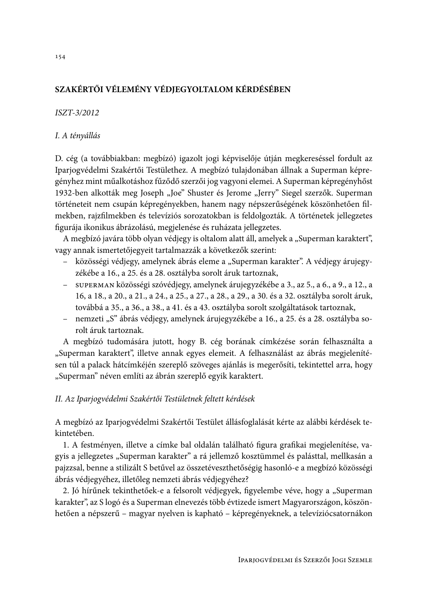## SZAKÉRTŐI VÉLEMÉNY VÉDJEGYOLTALOM KÉRDÉSÉBEN

### ISZT-3/2012

### I. A tényállás

D. cég (a továbbiakban: megbízó) igazolt jogi képviselője útján megkereséssel fordult az Iparjogvédelmi Szakértői Testülethez. A megbízó tulajdonában állnak a Superman képregényhez mint műalkotáshoz fűződő szerzői jog vagyoni elemei. A Superman képregényhőst 1932-ben alkották meg Joseph "Joe" Shuster és Jerome "Jerry" Siegel szerzők. Superman történeteit nem csupán képregényekben, hanem nagy népszerűségének köszönhetően filmekben, rajzfilmekben és televíziós sorozatokban is feldolgozták. A történetek jellegzetes figurája ikonikus ábrázolású, megjelenése és ruházata jellegzetes.

A megbízó javára több olyan védjegy is oltalom alatt áll, amelyek a "Superman karaktert", vagy annak ismertetőjegyeit tartalmazzák a következők szerint:

- közösségi védjegy, amelynek ábrás eleme a "Superman karakter". A védjegy árujegyzékébe a 16., a 25. és a 28. osztályba sorolt áruk tartoznak,
- superman közösségi szóvédjegy, amelynek árujegyzékébe a 3., az 5., a 6., a 9., a 12., a 16, a 18., a 20., a 21., a 24., a 25., a 27., a 28., a 29., a 30. és a 32. osztályba sorolt áruk, továbbá a 35., a 36., a 38., a 41. és a 43. osztályba sorolt szolgáltatások tartoznak,
- nemzeti "S" ábrás védjegy, amelynek árujegyzékébe a 16., a 25. és a 28. osztályba sorolt áruk tartoznak.

A megbízó tudomására jutott, hogy B. cég borának címkézése során felhasználta a "Superman karaktert", illetve annak egyes elemeit. A felhasználást az ábrás megjelenítésen túl a palack hátcímkéjén szereplő szöveges ajánlás is megerősíti, tekintettel arra, hogy "Superman" néven említi az ábrán szereplő egyik karaktert.

## II. Az Iparjogvédelmi Szakértői Testületnek feltett kérdések

A megbízó az Iparjogvédelmi Szakértői Testület állásfoglalását kérte az alábbi kérdések tekintetében.

1. A festményen, illetve a címke bal oldalán található figura grafikai megjelenítése, vagyis a jellegzetes "Superman karakter" a rá jellemző kosztümmel és palásttal, mellkasán a pajzzsal, benne a stilizált S betűvel az összetéveszthetőségig hasonló-e a megbízó közösségi ábrás védjegyéhez, illetőleg nemzeti ábrás védjegyéhez?

2. Jó hírűnek tekinthetőek-e a felsorolt védjegyek, figyelembe véve, hogy a "Superman karakter", az S logó és a Superman elnevezés több évtizede ismert Magyarországon, köszönhetően a népszerű – magyar nyelven is kapható – képregényeknek, a televíziócsatornákon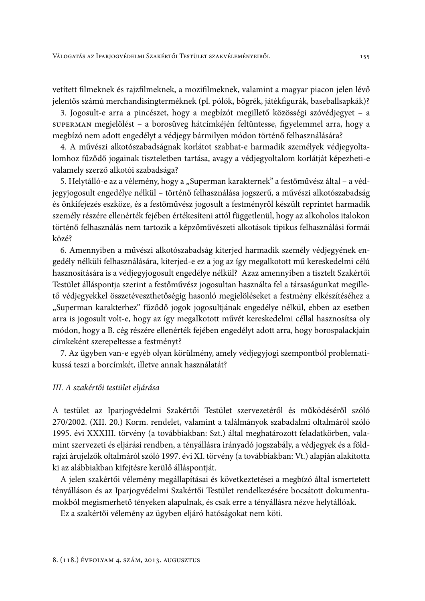vetített filmeknek és rajzfilmeknek, a mozifilmeknek, valamint a magyar piacon jelen lévő jelentős számú merchandisingterméknek (pl. pólók, bögrék, játékfigurák, baseballsapkák)?

3. Jogosult-e arra a pincészet, hogy a megbízót megillető közösségi szóvédjegyet – a superman megjelölést – a borosüveg hátcímkéjén feltüntesse, figyelemmel arra, hogy a megbízó nem adott engedélyt a védjegy bármilyen módon történő felhasználására?

4. A művészi alkotószabadságnak korlátot szabhat-e harmadik személyek védjegyoltalomhoz fűződő jogainak tiszteletben tartása, avagy a védjegyoltalom korlátját képezheti-e valamely szerző alkotói szabadsága?

5. Helytálló-e az a vélemény, hogy a "Superman karakternek" a festőművész által – a védjegyjogosult engedélye nélkül – történő felhasználása jogszerű, a művészi alkotószabadság és önkifejezés eszköze, és a festőművész jogosult a festményről készült reprintet harmadik személy részére ellenérték fejében értékesíteni attól függetlenül, hogy az alkoholos italokon történő felhasználás nem tartozik a képzőművészeti alkotások tipikus felhasználási formái közé?

6. Amennyiben a művészi alkotószabadság kiterjed harmadik személy védjegyének engedély nélküli felhasználására, kiterjed-e ez a jog az így megalkotott mű kereskedelmi célú hasznosítására is a védjegyjogosult engedélye nélkül? Azaz amennyiben a tisztelt Szakértői Testület álláspontja szerint a festőművész jogosultan használta fel a társaságunkat megillető védjegyekkel összetéveszthetőségig hasonló megjelöléseket a festmény elkészítéséhez a "Superman karakterhez" fűződő jogok jogosultjának engedélye nélkül, ebben az esetben arra is jogosult volt-e, hogy az így megalkotott művét kereskedelmi céllal hasznosítsa oly módon, hogy a B. cég részére ellenérték fejében engedélyt adott arra, hogy borospalackjain címkeként szerepeltesse a festményt?

7. Az ügyben van-e egyéb olyan körülmény, amely védjegyjogi szempontból problematikussá teszi a borcímkét, illetve annak használatát?

### III. A szakértői testület eljárása

A testület az Iparjogvédelmi Szakértői Testület szervezetéről és működéséről szóló 270/2002. (XII. 20.) Korm. rendelet, valamint a találmányok szabadalmi oltalmáról szóló 1995. évi XXXIII. törvény (a továbbiakban: Szt.) által meghatározott feladatkörben, valamint szervezeti és eljárási rendben, a tényállásra irányadó jogszabály, a védjegyek és a földrajzi árujelzők oltalmáról szóló 1997. évi XI. törvény (a továbbiakban: Vt.) alapján alakította ki az alábbiakban kifejtésre kerülő álláspontját.

A jelen szakértői vélemény megállapításai és következtetései a megbízó által ismertetett tényálláson és az Iparjogvédelmi Szakértői Testület rendelkezésére bocsátott dokumentumokból megismerhető tényeken alapulnak, és csak erre a tényállásra nézve helytállóak.

Ez a szakértői vélemény az ügyben eljáró hatóságokat nem köti.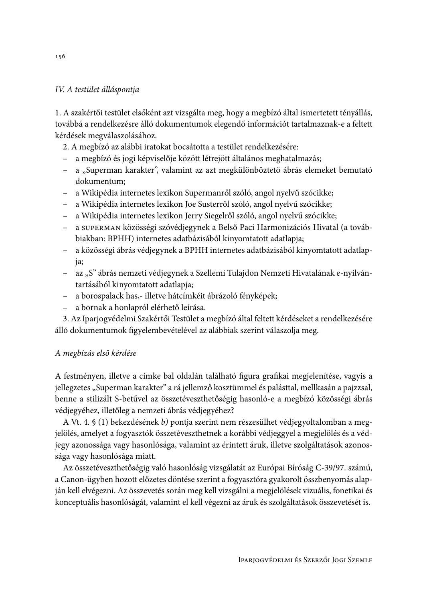### IV. A testület álláspontja

1. A szakértői testület elsőként azt vizsgálta meg, hogy a megbízó által ismertetett tényállás, továbbá a rendelkezésre álló dokumentumok elegendő információt tartalmaznak-e a feltett kérdések megválaszolásához.

- 2. A megbízó az alábbi iratokat bocsátotta a testület rendelkezésére:
- a megbízó és jogi képviselője között létrejött általános meghatalmazás;
- a "Superman karakter", valamint az azt megkülönböztető ábrás elemeket bemutató dokumentum:
- a Wikipédia internetes lexikon Supermanről szóló, angol nyelvű szócikke;
- a Wikipédia internetes lexikon Joe Susterről szóló, angol nyelvű szócikke;
- a Wikipédia internetes lexikon Jerry Siegelről szóló, angol nyelvű szócikke;
- a superman közösségi szóvédjegynek a Belső Paci Harmonizációs Hivatal (a továbbiakban: BPHH) internetes adatbázisából kinyomtatott adatlapja;
- a közösségi ábrás védjegynek a BPHH internetes adatbázisából kinyomtatott adatlapia;
- az "S" ábrás nemzeti védjegynek a Szellemi Tulajdon Nemzeti Hivatalának e-nyilvántartásából kinyomtatott adatlapja;
- a borospalack has,- illetve hátcímkéit ábrázoló fényképek;
- a bornak a honlapról elérhető leírása.

3. Az Iparjogvédelmi Szakértői Testület a megbízó által feltett kérdéseket a rendelkezésére álló dokumentumok figyelembevételével az alábbiak szerint válaszolja meg.

## A megbízás első kérdése

A festményen, illetve a címke bal oldalán található figura grafikai megjelenítése, vagyis a jellegzetes "Superman karakter" a rá jellemző kosztümmel és palásttal, mellkasán a pajzzsal, benne a stilizált S-betűvel az összetéveszthetőségig hasonló-e a megbízó közösségi ábrás védjegyéhez, illetőleg a nemzeti ábrás védjegyéhez?

A Vt. 4. § (1) bekezdésének b) pontja szerint nem részesülhet védjegyoltalomban a megjelölés, amelyet a fogyasztók összetéveszthetnek a korábbi védjeggyel a megjelölés és a védjegy azonossága vagy hasonlósága, valamint az érintett áruk, illetve szolgáltatások azonossága vagy hasonlósága miatt.

Az összetéveszthetőségig való hasonlóság vizsgálatát az Európai Bíróság C-39/97. számú, a Canon-ügyben hozott előzetes döntése szerint a fogyasztóra gyakorolt összbenyomás alapján kell elvégezni. Az összevetés során meg kell vizsgálni a megjelölések vizuális, fonetikai és konceptuális hasonlóságát, valamint el kell végezni az áruk és szolgáltatások összevetését is.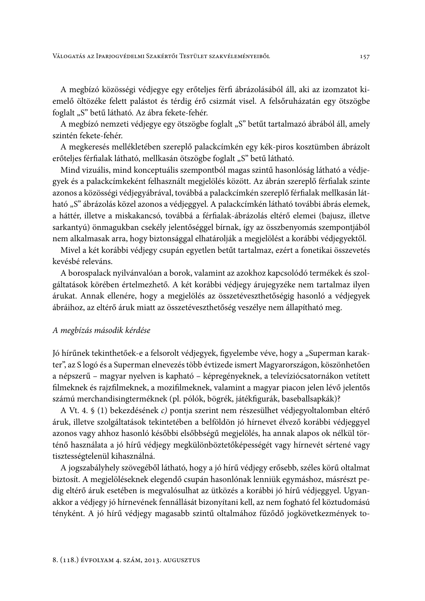A megbízó közösségi védjegye egy erőteljes férfi ábrázolásából áll, aki az izomzatot kiemelő öltözéke felett palástot és térdig érő csizmát visel. A felsőruházatán egy ötszögbe foglalt "S" betű látható. Az ábra fekete-fehér.

A megbízó nemzeti védjegye egy ötszögbe foglalt "S" betűt tartalmazó ábrából áll, amely szintén fekete-fehér.

A megkeresés mellékletében szereplő palackcímkén egy kék-piros kosztümben ábrázolt erőteljes férfialak látható, mellkasán ötszögbe foglalt "S" betű látható.

Mind vizuális, mind konceptuális szempontból magas szintű hasonlóság látható a védjegyek és a palackcímkeként felhasznált megjelölés között. Az ábrán szereplő férfialak szinte azonos a közösségi védjegyábrával, továbbá a palackcímkén szereplő férfialak mellkasán látható "S" ábrázolás közel azonos a védjeggyel. A palackcímkén látható további ábrás elemek, a háttér, illetve a miskakancsó, továbbá a férfialak-ábrázolás eltérő elemei (bajusz, illetve sarkantyú) önmagukban csekély jelentőséggel bírnak, így az összbenyomás szempontjából nem alkalmasak arra, hogy biztonsággal elhatárolják a megjelölést a korábbi védjegyektől.

Mivel a két korábbi védjegy csupán egyetlen betűt tartalmaz, ezért a fonetikai összevetés kevésbé releváns.

A borospalack nyilvánvalóan a borok, valamint az azokhoz kapcsolódó termékek és szolgáltatások körében értelmezhető. A két korábbi védjegy árujegyzéke nem tartalmaz ilyen árukat. Annak ellenére, hogy a megjelölés az összetéveszthetőségig hasonló a védjegyek ábráihoz, az eltérő áruk miatt az összetéveszthetőség veszélye nem állapítható meg.

#### A megbízás második kérdése

Jó hírűnek tekinthetőek-e a felsorolt védjegyek, figyelembe véve, hogy a "Superman karakter", az S logó és a Superman elnevezés több évtizede ismert Magyarországon, köszönhetően a népszerű – magyar nyelven is kapható – képregényeknek, a televíziócsatornákon vetített filmeknek és rajzfilmeknek, a mozifilmeknek, valamint a magyar piacon jelen lévő jelentős számú merchandisingterméknek (pl. pólók, bögrék, játékfigurák, baseballsapkák)?

A Vt. 4. § (1) bekezdésének c) pontja szerint nem részesülhet védjegyoltalomban eltérő áruk, illetve szolgáltatások tekintetében a belföldön jó hírnevet élvező korábbi védjeggyel azonos vagy ahhoz hasonló későbbi elsőbbségű megjelölés, ha annak alapos ok nélkül történő használata a jó hírű védjegy megkülönböztetőképességét vagy hírnevét sértené vagy tisztességtelenül kihasználná.

A jogszabályhely szövegéből látható, hogy a jó hírű védjegy erősebb, széles körű oltalmat biztosít. A megjelöléseknek elegendő csupán hasonlónak lenniük egymáshoz, másrészt pedig eltérő áruk esetében is megvalósulhat az ütközés a korábbi jó hírű védjeggyel. Ugyanakkor a védjegy jó hírnevének fennállását bizonyítani kell, az nem fogható fel köztudomású tényként. A jó hírű védjegy magasabb szintű oltalmához fűződő jogkövetkezmények to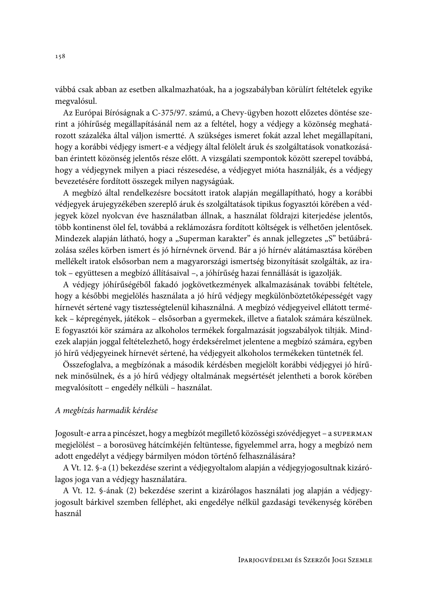vábbá csak abban az esetben alkalmazhatóak, ha a jogszabályban körülírt feltételek egyike megvalósul.

Az Európai Bíróságnak a C-375/97. számú, a Chevy-ügyben hozott előzetes döntése szerint a jóhírűség megállapításánál nem az a feltétel, hogy a védjegy a közönség meghatározott százaléka által váljon ismertté. A szükséges ismeret fokát azzal lehet megállapítani, hogy a korábbi védjegy ismert-e a védjegy által felölelt áruk és szolgáltatások vonatkozásában érintett közönség jelentős része előtt. A vizsgálati szempontok között szerepel továbbá, hogy a védjegynek milyen a piaci részesedése, a védjegyet mióta használják, és a védjegy bevezetésére fordított összegek milyen nagyságúak.

A megbízó által rendelkezésre bocsátott iratok alapján megállapítható, hogy a korábbi védjegyek árujegyzékében szereplő áruk és szolgáltatások tipikus fogyasztói körében a védjegyek közel nyolcvan éve használatban állnak, a használat földrajzi kiterjedése jelentős, több kontinenst ölel fel, továbbá a reklámozásra fordított költségek is vélhetően jelentősek. Mindezek alapján látható, hogy a "Superman karakter" és annak jellegzetes "S" betűábrázolása széles körben ismert és jó hírnévnek örvend. Bár a jó hírnév alátámasztása körében mellékelt iratok elsősorban nem a magyarországi ismertség bizonyítását szolgálták, az iratok - együttesen a megbízó állításaival -, a jóhírűség hazai fennállását is igazolják.

A védjegy jóhírűségéből fakadó jogkövetkezmények alkalmazásának további feltétele, hogy a későbbi megjelölés használata a jó hírű védjegy megkülönböztetőképességét vagy hírnevét sértené vagy tisztességtelenül kihasználná. A megbízó védjegyeivel ellátott termékek – képregények, játékok – elsősorban a gyermekek, illetve a fiatalok számára készülnek. E fogyasztói kör számára az alkoholos termékek forgalmazását jogszabályok tiltják. Mindezek alapján joggal feltételezhető, hogy érdeksérelmet jelentene a megbízó számára, egyben jó hírű védjegyeinek hírnevét sértené, ha védjegyeit alkoholos termékeken tüntetnék fel.

Összefoglalva, a megbízónak a második kérdésben megjelölt korábbi védjegyei jó hírűnek minősülnek, és a jó hírű védjegy oltalmának megsértését jelentheti a borok körében megvalósított – engedély nélküli – használat.

### A megbízás harmadik kérdése

Jogosult-e arra a pincészet, hogy a megbízót megillető közösségi szóvédjegyet – a supernan megjelölést – a borosüveg hátcímkéjén feltüntesse, figyelemmel arra, hogy a megbízó nem adott engedélyt a védjegy bármilyen módon történő felhasználására?

A Vt. 12. §-a (1) bekezdése szerint a védjegyoltalom alapján a védjegyjogosultnak kizárólagos joga van a védjegy használatára.

A Vt. 12. §-ának (2) bekezdése szerint a kizárólagos használati jog alapján a védjegyjogosult bárkivel szemben felléphet, aki engedélye nélkül gazdasági tevékenység körében használ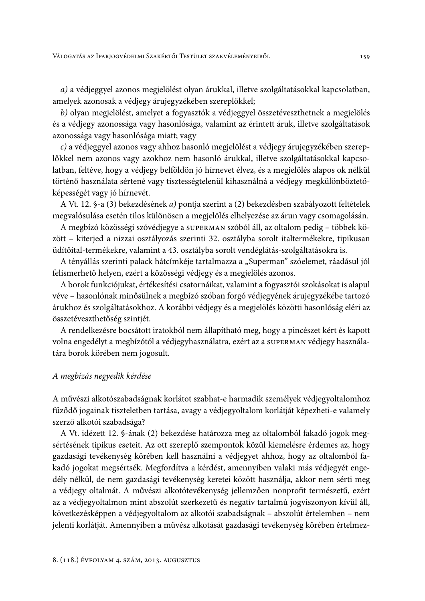a) a védjeggyel azonos megjelölést olyan árukkal, illetve szolgáltatásokkal kapcsolatban, amelyek azonosak a védjegy árujegyzékében szereplőkkel;

b) olyan megjelölést, amelyet a fogyasztók a védjeggyel összetéveszthetnek a megjelölés és a védjegy azonossága vagy hasonlósága, valamint az érintett áruk, illetve szolgáltatások azonossága vagy hasonlósága miatt; vagy

c) a védjeggyel azonos vagy ahhoz hasonló megjelölést a védjegy árujegyzékében szereplőkkel nem azonos vagy azokhoz nem hasonló árukkal, illetve szolgáltatásokkal kapcsolatban, feltéve, hogy a védjegy belföldön jó hírnevet élvez, és a megjelölés alapos ok nélkül történő használata sértené vagy tisztességtelenül kihasználná a védjegy megkülönböztetőképességét vagy jó hírnevét.

A Vt. 12. §-a (3) bekezdésének a) pontja szerint a (2) bekezdésben szabályozott feltételek megvalósulása esetén tilos különösen a megjelölés elhelyezése az árun vagy csomagolásán.

A megbízó közösségi szóvédjegye a superman szóból áll, az oltalom pedig - többek között – kiterjed a nizzai osztályozás szerinti 32. osztályba sorolt italtermékekre, tipikusan üdítőital-termékekre, valamint a 43. osztályba sorolt vendéglátás-szolgáltatásokra is.

A tényállás szerinti palack hátcímkéje tartalmazza a "Superman" szóelemet, ráadásul jól felismerhető helyen, ezért a közösségi védjegy és a megjelölés azonos.

A borok funkciójukat, értékesítési csatornáikat, valamint a fogyasztói szokásokat is alapul véve – hasonlónak minősülnek a megbízó szóban forgó védjegyének árujegyzékébe tartozó árukhoz és szolgáltatásokhoz. A korábbi védjegy és a megjelölés közötti hasonlóság eléri az összetéveszthetőség szintjét.

A rendelkezésre bocsátott iratokból nem állapítható meg, hogy a pincészet kért és kapott volna engedélyt a megbízótól a védjegyhasználatra, ezért az a superman védjegy használatára borok körében nem jogosult.

#### A megbízás negyedik kérdése

A művészi alkotószabadságnak korlátot szabhat-e harmadik személyek védjegyoltalomhoz fűződő jogainak tiszteletben tartása, avagy a védjegyoltalom korlátját képezheti-e valamely szerző alkotói szabadsága?

A Vt. idézett 12. §-ának (2) bekezdése határozza meg az oltalomból fakadó jogok megsértésének tipikus eseteit. Az ott szereplő szempontok közül kiemelésre érdemes az, hogy gazdasági tevékenység körében kell használni a védjegyet ahhoz, hogy az oltalomból fakadó jogokat megsértsék. Megfordítva a kérdést, amennyiben valaki más védjegyét engedély nélkül, de nem gazdasági tevékenység keretei között használja, akkor nem sérti meg a védjegy oltalmát. A művészi alkotótevékenység jellemzően nonprofit természetű, ezért az a védjegyoltalmon mint abszolút szerkezetű és negatív tartalmú jogviszonyon kívül áll, következésképpen a védjegyoltalom az alkotói szabadságnak – abszolút értelemben – nem jelenti korlátját. Amennyiben a művész alkotását gazdasági tevékenység körében értelmez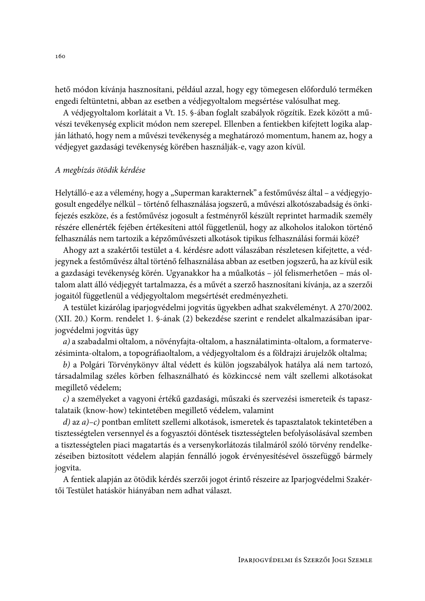hető módon kívánja hasznosítani, például azzal, hogy egy tömegesen előforduló terméken engedi feltüntetni, abban az esetben a védjegyoltalom megsértése valósulhat meg.

A védjegyoltalom korlátait a Vt. 15. §-ában foglalt szabályok rögzítik. Ezek között a művészi tevékenység explicit módon nem szerepel. Ellenben a fentiekben kifejtett logika alapján látható, hogy nem a művészi tevékenység a meghatározó momentum, hanem az, hogy a védjegyet gazdasági tevékenység körében használják-e, vagy azon kívül.

### A megbízás ötödik kérdése

Helytálló-e az a vélemény, hogy a "Superman karakternek" a festőművész által – a védjegyjogosult engedélye nélkül – történő felhasználása jogszerű, a művészi alkotószabadság és önkifejezés eszköze, és a festőművész jogosult a festményről készült reprintet harmadik személy részére ellenérték fejében értékesíteni attól függetlenül, hogy az alkoholos italokon történő felhasználás nem tartozik a képzőművészeti alkotások tipikus felhasználási formái közé?

Ahogy azt a szakértői testület a 4. kérdésre adott válaszában részletesen kifejtette, a védjegynek a festőművész által történő felhasználása abban az esetben jogszerű, ha az kívül esik a gazdasági tevékenység körén. Ugyanakkor ha a műalkotás – jól felismerhetően – más oltalom alatt álló védjegyét tartalmazza, és a művét a szerző hasznosítani kívánja, az a szerzői jogaitól függetlenül a védjegyoltalom megsértését eredményezheti.

A testület kizárólag iparjogvédelmi jogvitás ügyekben adhat szakvéleményt. A 270/2002. (XII. 20.) Korm. rendelet 1. §-ának (2) bekezdése szerint e rendelet alkalmazásában iparjogvédelmi jogvitás ügy

a) a szabadalmi oltalom, a növényfajta-oltalom, a használatiminta-oltalom, a formatervezésiminta-oltalom, a topográfiaoltalom, a védjegyoltalom és a földrajzi árujelzők oltalma;

b) a Polgári Törvénykönyv által védett és külön jogszabályok hatálya alá nem tartozó, társadalmilag széles körben felhasználható és közkinccsé nem vált szellemi alkotásokat megillető védelem;

c) a személyeket a vagyoni értékű gazdasági, műszaki és szervezési ismereteik és tapasztalataik (know-how) tekintetében megillető védelem, valamint

 $d$ ) az a)-c) pontban említett szellemi alkotások, ismeretek és tapasztalatok tekintetében a tisztességtelen versennyel és a fogyasztói döntések tisztességtelen befolyásolásával szemben a tisztességtelen piaci magatartás és a versenykorlátozás tilalmáról szóló törvény rendelkezéseiben biztosított védelem alapján fennálló jogok érvényesítésével összefüggő bármely jogvita.

A fentiek alapján az ötödik kérdés szerzői jogot érintő részeire az Iparjogvédelmi Szakértői Testület hatáskör hiányában nem adhat választ.